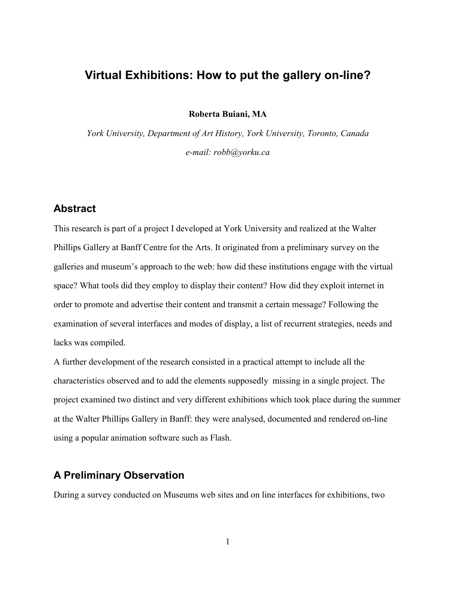# **Virtual Exhibitions: How to put the gallery on-line?**

**Roberta Buiani, MA**

*York University, Department of Art History, York University, Toronto, Canada e-mail: robb@yorku.ca*

## **Abstract**

This research is part of a project I developed at York University and realized at the Walter Phillips Gallery at Banff Centre for the Arts. It originated from a preliminary survey on the galleries and museum's approach to the web: how did these institutions engage with the virtual space? What tools did they employ to display their content? How did they exploit internet in order to promote and advertise their content and transmit a certain message? Following the examination of several interfaces and modes of display, a list of recurrent strategies, needs and lacks was compiled.

A further development of the research consisted in a practical attempt to include all the characteristics observed and to add the elements supposedly missing in a single project. The project examined two distinct and very different exhibitions which took place during the summer at the Walter Phillips Gallery in Banff: they were analysed, documented and rendered on-line using a popular animation software such as Flash.

# **A Preliminary Observation**

During a survey conducted on Museums web sites and on line interfaces for exhibitions, two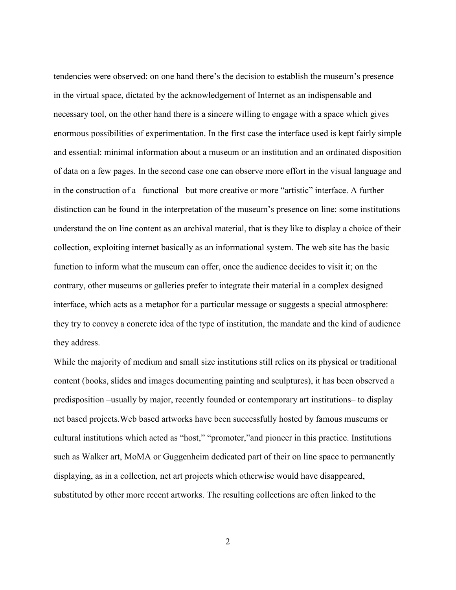tendencies were observed: on one hand there's the decision to establish the museum's presence in the virtual space, dictated by the acknowledgement of Internet as an indispensable and necessary tool, on the other hand there is a sincere willing to engage with a space which gives enormous possibilities of experimentation. In the first case the interface used is kept fairly simple and essential: minimal information about a museum or an institution and an ordinated disposition of data on a few pages. In the second case one can observe more effort in the visual language and in the construction of a –functional– but more creative or more "artistic" interface. A further distinction can be found in the interpretation of the museum's presence on line: some institutions understand the on line content as an archival material, that is they like to display a choice of their collection, exploiting internet basically as an informational system. The web site has the basic function to inform what the museum can offer, once the audience decides to visit it; on the contrary, other museums or galleries prefer to integrate their material in a complex designed interface, which acts as a metaphor for a particular message or suggests a special atmosphere: they try to convey a concrete idea of the type of institution, the mandate and the kind of audience they address.

While the majority of medium and small size institutions still relies on its physical or traditional content (books, slides and images documenting painting and sculptures), it has been observed a predisposition –usually by major, recently founded or contemporary art institutions– to display net based projects.Web based artworks have been successfully hosted by famous museums or cultural institutions which acted as "host," "promoter,"and pioneer in this practice. Institutions such as Walker art, MoMA or Guggenheim dedicated part of their on line space to permanently displaying, as in a collection, net art projects which otherwise would have disappeared, substituted by other more recent artworks. The resulting collections are often linked to the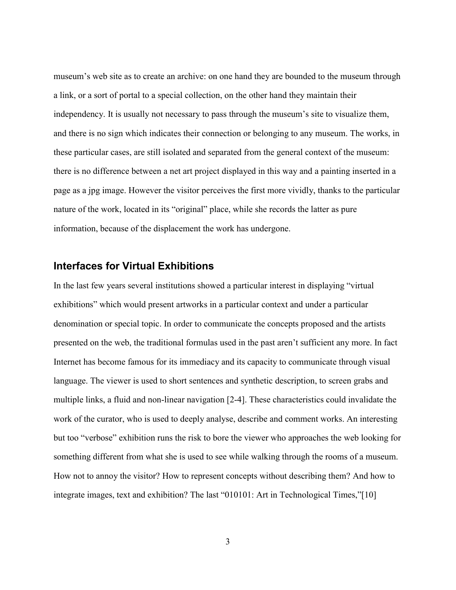museum's web site as to create an archive: on one hand they are bounded to the museum through a link, or a sort of portal to a special collection, on the other hand they maintain their independency. It is usually not necessary to pass through the museum's site to visualize them, and there is no sign which indicates their connection or belonging to any museum. The works, in these particular cases, are still isolated and separated from the general context of the museum: there is no difference between a net art project displayed in this way and a painting inserted in a page as a jpg image. However the visitor perceives the first more vividly, thanks to the particular nature of the work, located in its "original" place, while she records the latter as pure information, because of the displacement the work has undergone.

#### **Interfaces for Virtual Exhibitions**

In the last few years several institutions showed a particular interest in displaying "virtual exhibitions" which would present artworks in a particular context and under a particular denomination or special topic. In order to communicate the concepts proposed and the artists presented on the web, the traditional formulas used in the past aren't sufficient any more. In fact Internet has become famous for its immediacy and its capacity to communicate through visual language. The viewer is used to short sentences and synthetic description, to screen grabs and multiple links, a fluid and non-linear navigation [2-4]. These characteristics could invalidate the work of the curator, who is used to deeply analyse, describe and comment works. An interesting but too "verbose" exhibition runs the risk to bore the viewer who approaches the web looking for something different from what she is used to see while walking through the rooms of a museum. How not to annoy the visitor? How to represent concepts without describing them? And how to integrate images, text and exhibition? The last "010101: Art in Technological Times,"[10]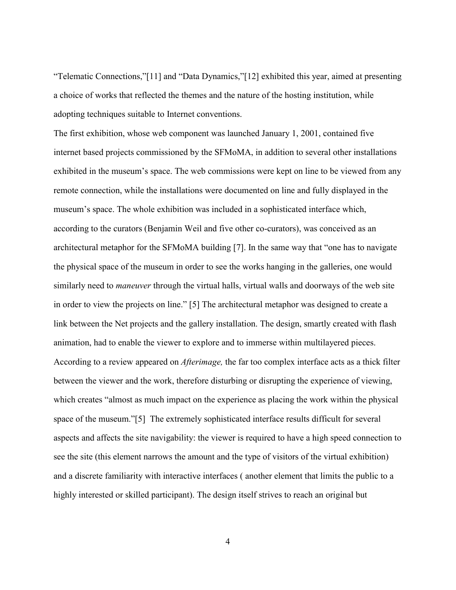"Telematic Connections,"[11] and "Data Dynamics,"[12] exhibited this year, aimed at presenting a choice of works that reflected the themes and the nature of the hosting institution, while adopting techniques suitable to Internet conventions.

The first exhibition, whose web component was launched January 1, 2001, contained five internet based projects commissioned by the SFMoMA, in addition to several other installations exhibited in the museum's space. The web commissions were kept on line to be viewed from any remote connection, while the installations were documented on line and fully displayed in the museum's space. The whole exhibition was included in a sophisticated interface which, according to the curators (Benjamin Weil and five other co-curators), was conceived as an architectural metaphor for the SFMoMA building [7]. In the same way that "one has to navigate the physical space of the museum in order to see the works hanging in the galleries, one would similarly need to *maneuver* through the virtual halls, virtual walls and doorways of the web site in order to view the projects on line." [5] The architectural metaphor was designed to create a link between the Net projects and the gallery installation. The design, smartly created with flash animation, had to enable the viewer to explore and to immerse within multilayered pieces. According to a review appeared on *Afterimage,* the far too complex interface acts as a thick filter between the viewer and the work, therefore disturbing or disrupting the experience of viewing, which creates "almost as much impact on the experience as placing the work within the physical space of the museum."[5] The extremely sophisticated interface results difficult for several aspects and affects the site navigability: the viewer is required to have a high speed connection to see the site (this element narrows the amount and the type of visitors of the virtual exhibition) and a discrete familiarity with interactive interfaces ( another element that limits the public to a highly interested or skilled participant). The design itself strives to reach an original but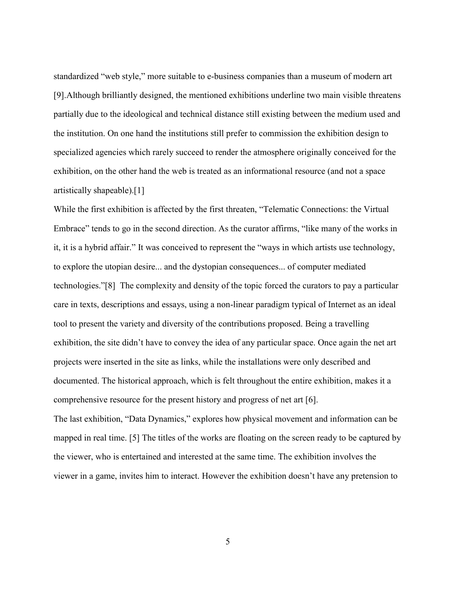standardized "web style," more suitable to e-business companies than a museum of modern art [9].Although brilliantly designed, the mentioned exhibitions underline two main visible threatens partially due to the ideological and technical distance still existing between the medium used and the institution. On one hand the institutions still prefer to commission the exhibition design to specialized agencies which rarely succeed to render the atmosphere originally conceived for the exhibition, on the other hand the web is treated as an informational resource (and not a space artistically shapeable).[1]

While the first exhibition is affected by the first threaten, "Telematic Connections: the Virtual Embrace" tends to go in the second direction. As the curator affirms, "like many of the works in it, it is a hybrid affair." It was conceived to represent the "ways in which artists use technology, to explore the utopian desire... and the dystopian consequences... of computer mediated technologies."[8] The complexity and density of the topic forced the curators to pay a particular care in texts, descriptions and essays, using a non-linear paradigm typical of Internet as an ideal tool to present the variety and diversity of the contributions proposed. Being a travelling exhibition, the site didn't have to convey the idea of any particular space. Once again the net art projects were inserted in the site as links, while the installations were only described and documented. The historical approach, which is felt throughout the entire exhibition, makes it a comprehensive resource for the present history and progress of net art [6].

The last exhibition, "Data Dynamics," explores how physical movement and information can be mapped in real time. [5] The titles of the works are floating on the screen ready to be captured by the viewer, who is entertained and interested at the same time. The exhibition involves the viewer in a game, invites him to interact. However the exhibition doesn't have any pretension to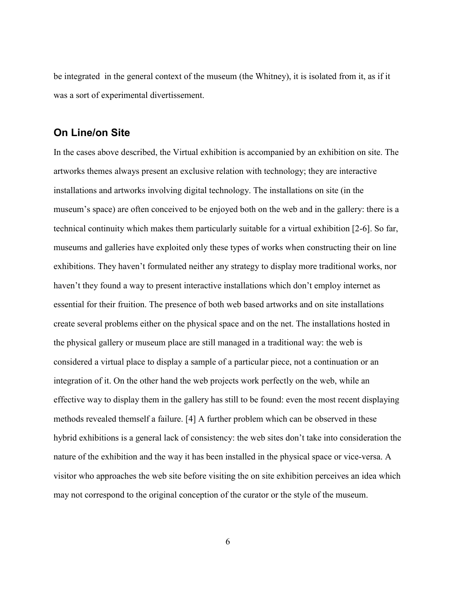be integrated in the general context of the museum (the Whitney), it is isolated from it, as if it was a sort of experimental divertissement.

## **On Line/on Site**

In the cases above described, the Virtual exhibition is accompanied by an exhibition on site. The artworks themes always present an exclusive relation with technology; they are interactive installations and artworks involving digital technology. The installations on site (in the museum's space) are often conceived to be enjoyed both on the web and in the gallery: there is a technical continuity which makes them particularly suitable for a virtual exhibition [2-6]. So far, museums and galleries have exploited only these types of works when constructing their on line exhibitions. They haven't formulated neither any strategy to display more traditional works, nor haven't they found a way to present interactive installations which don't employ internet as essential for their fruition. The presence of both web based artworks and on site installations create several problems either on the physical space and on the net. The installations hosted in the physical gallery or museum place are still managed in a traditional way: the web is considered a virtual place to display a sample of a particular piece, not a continuation or an integration of it. On the other hand the web projects work perfectly on the web, while an effective way to display them in the gallery has still to be found: even the most recent displaying methods revealed themself a failure. [4] A further problem which can be observed in these hybrid exhibitions is a general lack of consistency: the web sites don't take into consideration the nature of the exhibition and the way it has been installed in the physical space or vice-versa. A visitor who approaches the web site before visiting the on site exhibition perceives an idea which may not correspond to the original conception of the curator or the style of the museum.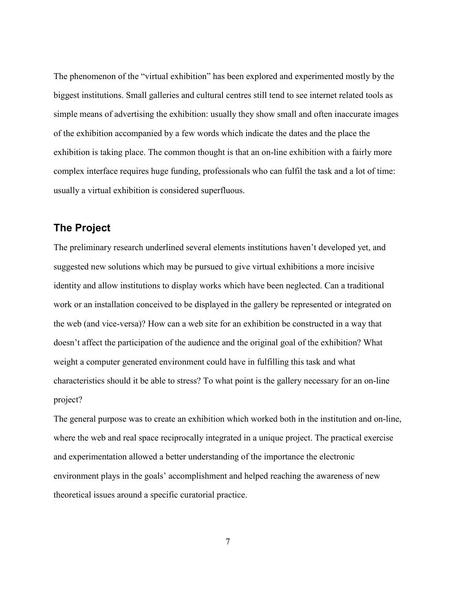The phenomenon of the "virtual exhibition" has been explored and experimented mostly by the biggest institutions. Small galleries and cultural centres still tend to see internet related tools as simple means of advertising the exhibition: usually they show small and often inaccurate images of the exhibition accompanied by a few words which indicate the dates and the place the exhibition is taking place. The common thought is that an on-line exhibition with a fairly more complex interface requires huge funding, professionals who can fulfil the task and a lot of time: usually a virtual exhibition is considered superfluous.

## **The Project**

The preliminary research underlined several elements institutions haven't developed yet, and suggested new solutions which may be pursued to give virtual exhibitions a more incisive identity and allow institutions to display works which have been neglected. Can a traditional work or an installation conceived to be displayed in the gallery be represented or integrated on the web (and vice-versa)? How can a web site for an exhibition be constructed in a way that doesn't affect the participation of the audience and the original goal of the exhibition? What weight a computer generated environment could have in fulfilling this task and what characteristics should it be able to stress? To what point is the gallery necessary for an on-line project?

The general purpose was to create an exhibition which worked both in the institution and on-line, where the web and real space reciprocally integrated in a unique project. The practical exercise and experimentation allowed a better understanding of the importance the electronic environment plays in the goals' accomplishment and helped reaching the awareness of new theoretical issues around a specific curatorial practice.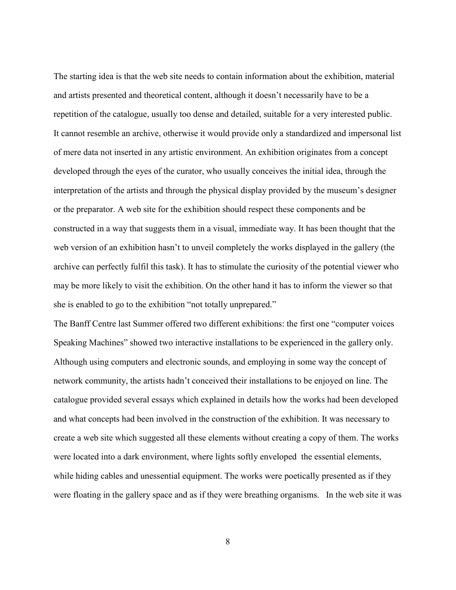The starting idea is that the web site needs to contain information about the exhibition, material and artists presented and theoretical content, although it doesn't necessarily have to be a repetition of the catalogue, usually too dense and detailed, suitable for a very interested public. It cannot resemble an archive, otherwise it would provide only a standardized and impersonal list of mere data not inserted in any artistic environment. An exhibition originates from a concept developed through the eyes of the curator, who usually conceives the initial idea, through the interpretation of the artists and through the physical display provided by the museum's designer or the preparator. A web site for the exhibition should respect these components and be constructed in a way that suggests them in a visual, immediate way. It has been thought that the web version of an exhibition hasn't to unveil completely the works displayed in the gallery (the archive can perfectly fulfil this task). It has to stimulate the curiosity of the potential viewer who may be more likely to visit the exhibition. On the other hand it has to inform the viewer so that she is enabled to go to the exhibition "not totally unprepared."

The Banff Centre last Summer offered two different exhibitions: the first one "computer voices Speaking Machines" showed two interactive installations to be experienced in the gallery only. Although using computers and electronic sounds, and employing in some way the concept of network community, the artists hadn't conceived their installations to be enjoyed on line. The catalogue provided several essays which explained in details how the works had been developed and what concepts had been involved in the construction of the exhibition. It was necessary to create a web site which suggested all these elements without creating a copy of them. The works were located into a dark environment, where lights softly enveloped the essential elements, while hiding cables and unessential equipment. The works were poetically presented as if they were floating in the gallery space and as if they were breathing organisms. In the web site it was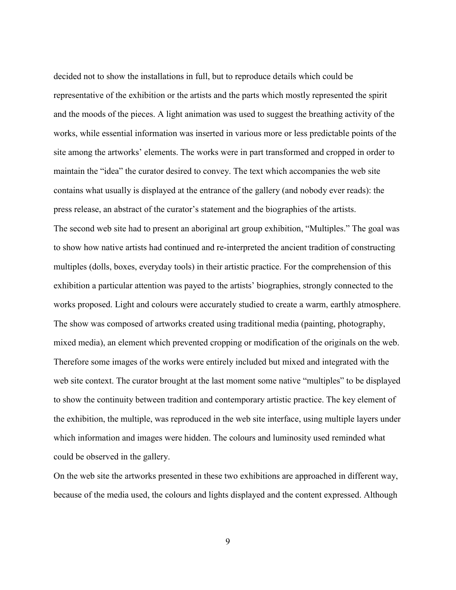decided not to show the installations in full, but to reproduce details which could be representative of the exhibition or the artists and the parts which mostly represented the spirit and the moods of the pieces. A light animation was used to suggest the breathing activity of the works, while essential information was inserted in various more or less predictable points of the site among the artworks' elements. The works were in part transformed and cropped in order to maintain the "idea" the curator desired to convey. The text which accompanies the web site contains what usually is displayed at the entrance of the gallery (and nobody ever reads): the press release, an abstract of the curator's statement and the biographies of the artists. The second web site had to present an aboriginal art group exhibition, "Multiples." The goal was to show how native artists had continued and re-interpreted the ancient tradition of constructing multiples (dolls, boxes, everyday tools) in their artistic practice. For the comprehension of this exhibition a particular attention was payed to the artists' biographies, strongly connected to the works proposed. Light and colours were accurately studied to create a warm, earthly atmosphere. The show was composed of artworks created using traditional media (painting, photography, mixed media), an element which prevented cropping or modification of the originals on the web. Therefore some images of the works were entirely included but mixed and integrated with the web site context. The curator brought at the last moment some native "multiples" to be displayed to show the continuity between tradition and contemporary artistic practice. The key element of the exhibition, the multiple, was reproduced in the web site interface, using multiple layers under which information and images were hidden. The colours and luminosity used reminded what could be observed in the gallery.

On the web site the artworks presented in these two exhibitions are approached in different way, because of the media used, the colours and lights displayed and the content expressed. Although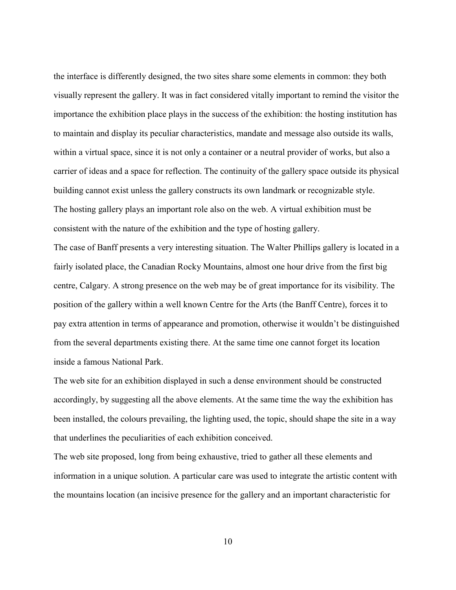the interface is differently designed, the two sites share some elements in common: they both visually represent the gallery. It was in fact considered vitally important to remind the visitor the importance the exhibition place plays in the success of the exhibition: the hosting institution has to maintain and display its peculiar characteristics, mandate and message also outside its walls, within a virtual space, since it is not only a container or a neutral provider of works, but also a carrier of ideas and a space for reflection. The continuity of the gallery space outside its physical building cannot exist unless the gallery constructs its own landmark or recognizable style. The hosting gallery plays an important role also on the web. A virtual exhibition must be consistent with the nature of the exhibition and the type of hosting gallery.

The case of Banff presents a very interesting situation. The Walter Phillips gallery is located in a fairly isolated place, the Canadian Rocky Mountains, almost one hour drive from the first big centre, Calgary. A strong presence on the web may be of great importance for its visibility. The position of the gallery within a well known Centre for the Arts (the Banff Centre), forces it to pay extra attention in terms of appearance and promotion, otherwise it wouldn't be distinguished from the several departments existing there. At the same time one cannot forget its location inside a famous National Park.

The web site for an exhibition displayed in such a dense environment should be constructed accordingly, by suggesting all the above elements. At the same time the way the exhibition has been installed, the colours prevailing, the lighting used, the topic, should shape the site in a way that underlines the peculiarities of each exhibition conceived.

The web site proposed, long from being exhaustive, tried to gather all these elements and information in a unique solution. A particular care was used to integrate the artistic content with the mountains location (an incisive presence for the gallery and an important characteristic for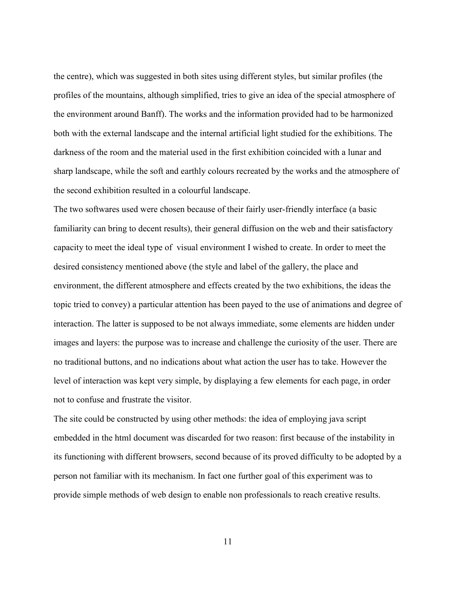the centre), which was suggested in both sites using different styles, but similar profiles (the profiles of the mountains, although simplified, tries to give an idea of the special atmosphere of the environment around Banff). The works and the information provided had to be harmonized both with the external landscape and the internal artificial light studied for the exhibitions. The darkness of the room and the material used in the first exhibition coincided with a lunar and sharp landscape, while the soft and earthly colours recreated by the works and the atmosphere of the second exhibition resulted in a colourful landscape.

The two softwares used were chosen because of their fairly user-friendly interface (a basic familiarity can bring to decent results), their general diffusion on the web and their satisfactory capacity to meet the ideal type of visual environment I wished to create. In order to meet the desired consistency mentioned above (the style and label of the gallery, the place and environment, the different atmosphere and effects created by the two exhibitions, the ideas the topic tried to convey) a particular attention has been payed to the use of animations and degree of interaction. The latter is supposed to be not always immediate, some elements are hidden under images and layers: the purpose was to increase and challenge the curiosity of the user. There are no traditional buttons, and no indications about what action the user has to take. However the level of interaction was kept very simple, by displaying a few elements for each page, in order not to confuse and frustrate the visitor.

The site could be constructed by using other methods: the idea of employing java script embedded in the html document was discarded for two reason: first because of the instability in its functioning with different browsers, second because of its proved difficulty to be adopted by a person not familiar with its mechanism. In fact one further goal of this experiment was to provide simple methods of web design to enable non professionals to reach creative results.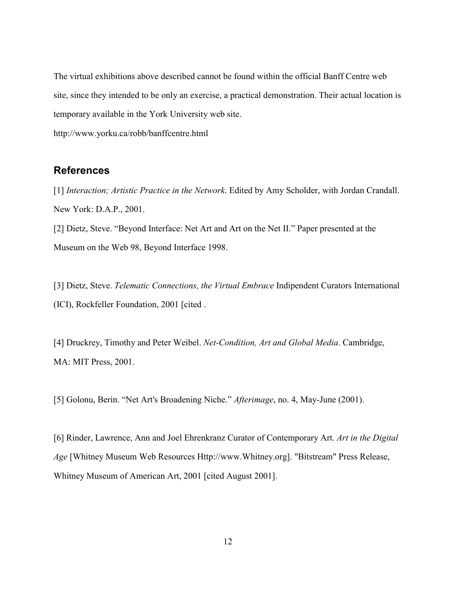The virtual exhibitions above described cannot be found within the official Banff Centre web site, since they intended to be only an exercise, a practical demonstration. Their actual location is temporary available in the York University web site.

http://www.yorku.ca/robb/banffcentre.html

## **References**

[1] *Interaction; Artistic Practice in the Network*. Edited by Amy Scholder, with Jordan Crandall. New York: D.A.P., 2001.

[2] Dietz, Steve. "Beyond Interface: Net Art and Art on the Net II." Paper presented at the Museum on the Web 98, Beyond Interface 1998.

[3] Dietz, Steve. *Telematic Connections, the Virtual Embrace* Indipendent Curators International (ICI), Rockfeller Foundation, 2001 [cited .

[4] Druckrey, Timothy and Peter Weibel. *Net-Condition, Art and Global Media*. Cambridge, MA: MIT Press, 2001.

[5] Golonu, Berin. "Net Art's Broadening Niche." *Afterimage*, no. 4, May-June (2001).

[6] Rinder, Lawrence, Ann and Joel Ehrenkranz Curator of Contemporary Art. *Art in the Digital Age* [Whitney Museum Web Resources Http://www.Whitney.org]. "Bitstream" Press Release, Whitney Museum of American Art, 2001 [cited August 2001].